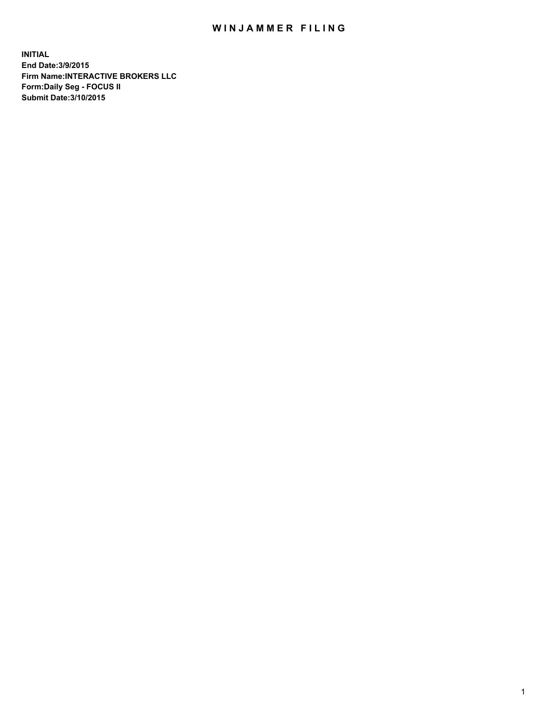## WIN JAMMER FILING

**INITIAL End Date:3/9/2015 Firm Name:INTERACTIVE BROKERS LLC Form:Daily Seg - FOCUS II Submit Date:3/10/2015**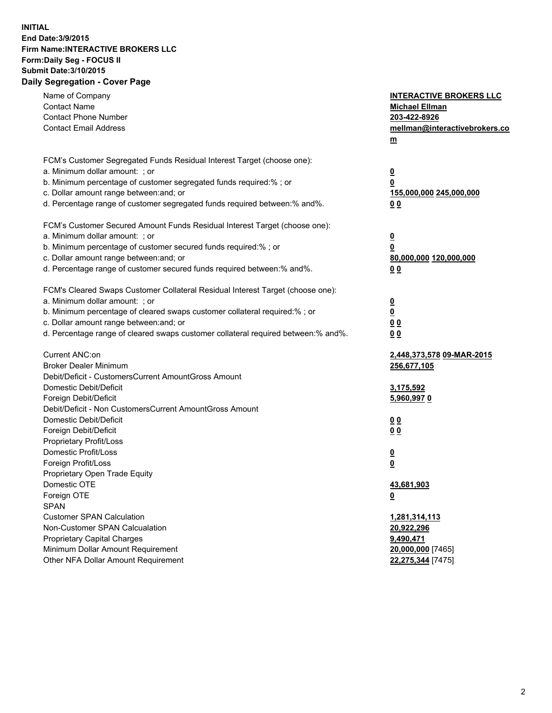## **INITIAL End Date:3/9/2015 Firm Name:INTERACTIVE BROKERS LLC Form:Daily Seg - FOCUS II Submit Date:3/10/2015 Daily Segregation - Cover Page**

| Name of Company                                                                   | <b>INTERACTIVE BROKERS LLC</b> |
|-----------------------------------------------------------------------------------|--------------------------------|
| <b>Contact Name</b>                                                               | <b>Michael Ellman</b>          |
| <b>Contact Phone Number</b>                                                       | 203-422-8926                   |
| <b>Contact Email Address</b>                                                      | mellman@interactivebrokers.co  |
|                                                                                   | $\underline{\mathbf{m}}$       |
| FCM's Customer Segregated Funds Residual Interest Target (choose one):            |                                |
| a. Minimum dollar amount: ; or                                                    | $\overline{\mathbf{0}}$        |
| b. Minimum percentage of customer segregated funds required:% ; or                | 0                              |
| c. Dollar amount range between: and; or                                           | 155,000,000 245,000,000        |
| d. Percentage range of customer segregated funds required between:% and%.         | 00                             |
| FCM's Customer Secured Amount Funds Residual Interest Target (choose one):        |                                |
| a. Minimum dollar amount: ; or                                                    | $\overline{\mathbf{0}}$        |
| b. Minimum percentage of customer secured funds required:% ; or                   | 0                              |
| c. Dollar amount range between: and; or                                           | 80,000,000 120,000,000         |
| d. Percentage range of customer secured funds required between:% and%.            | 00                             |
|                                                                                   |                                |
| FCM's Cleared Swaps Customer Collateral Residual Interest Target (choose one):    |                                |
| a. Minimum dollar amount: ; or                                                    | $\overline{\mathbf{0}}$        |
| b. Minimum percentage of cleared swaps customer collateral required:% ; or        | $\overline{\mathbf{0}}$        |
| c. Dollar amount range between: and; or                                           | 0 <sub>0</sub>                 |
| d. Percentage range of cleared swaps customer collateral required between:% and%. | 0 <sub>0</sub>                 |
| Current ANC:on                                                                    | 2,448,373,578 09-MAR-2015      |
| <b>Broker Dealer Minimum</b>                                                      | 256,677,105                    |
| Debit/Deficit - CustomersCurrent AmountGross Amount                               |                                |
| Domestic Debit/Deficit                                                            | 3,175,592                      |
| Foreign Debit/Deficit                                                             | 5,960,9970                     |
| Debit/Deficit - Non CustomersCurrent AmountGross Amount                           |                                |
| Domestic Debit/Deficit                                                            | 0 <sub>0</sub>                 |
| Foreign Debit/Deficit                                                             | 0 <sub>0</sub>                 |
| Proprietary Profit/Loss                                                           |                                |
| Domestic Profit/Loss                                                              | $\overline{\mathbf{0}}$        |
| Foreign Profit/Loss                                                               | $\underline{\mathbf{0}}$       |
| Proprietary Open Trade Equity                                                     |                                |
| Domestic OTE                                                                      | 43,681,903                     |
| Foreign OTE                                                                       | <u>0</u>                       |
| <b>SPAN</b>                                                                       |                                |
| <b>Customer SPAN Calculation</b>                                                  | 1,281,314,113                  |
| Non-Customer SPAN Calcualation                                                    | 20,922,296                     |
| Proprietary Capital Charges                                                       | 9,490,471                      |
| Minimum Dollar Amount Requirement                                                 | 20,000,000 [7465]              |
| Other NFA Dollar Amount Requirement                                               | 22,275,344 [7475]              |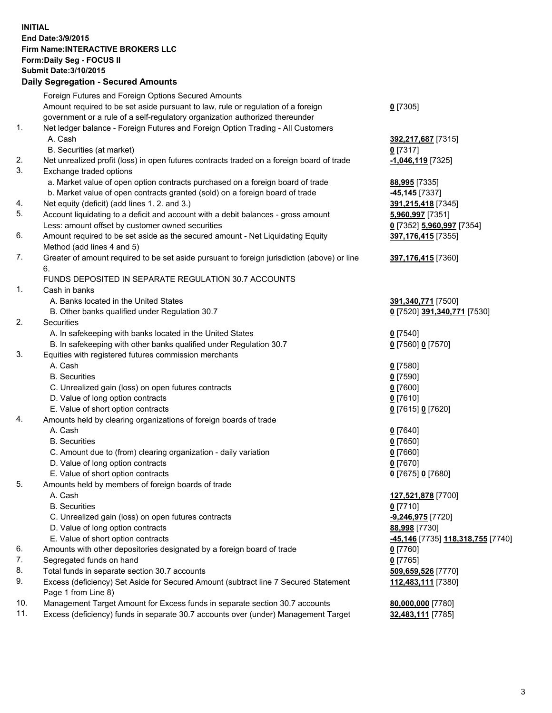## **INITIAL End Date:3/9/2015 Firm Name:INTERACTIVE BROKERS LLC Form:Daily Seg - FOCUS II Submit Date:3/10/2015 Daily Segregation - Secured Amounts**

|     | Foreign Futures and Foreign Options Secured Amounts                                         |                                                |
|-----|---------------------------------------------------------------------------------------------|------------------------------------------------|
|     | Amount required to be set aside pursuant to law, rule or regulation of a foreign            | $0$ [7305]                                     |
|     | government or a rule of a self-regulatory organization authorized thereunder                |                                                |
| 1.  | Net ledger balance - Foreign Futures and Foreign Option Trading - All Customers             |                                                |
|     | A. Cash                                                                                     | 392,217,687 [7315]                             |
|     | B. Securities (at market)                                                                   | 0 [7317]                                       |
| 2.  | Net unrealized profit (loss) in open futures contracts traded on a foreign board of trade   | -1,046,119 [7325]                              |
| 3.  | Exchange traded options                                                                     |                                                |
|     | a. Market value of open option contracts purchased on a foreign board of trade              | 88,995 [7335]                                  |
|     | b. Market value of open contracts granted (sold) on a foreign board of trade                | -45,145 <sup>[7337]</sup>                      |
| 4.  | Net equity (deficit) (add lines 1.2. and 3.)                                                | 391,215,418 [7345]                             |
| 5.  | Account liquidating to a deficit and account with a debit balances - gross amount           |                                                |
|     |                                                                                             | 5,960,997 [7351]                               |
|     | Less: amount offset by customer owned securities                                            | 0 [7352] 5,960,997 [7354]                      |
| 6.  | Amount required to be set aside as the secured amount - Net Liquidating Equity              | 397,176,415 [7355]                             |
|     | Method (add lines 4 and 5)                                                                  |                                                |
| 7.  | Greater of amount required to be set aside pursuant to foreign jurisdiction (above) or line | 397,176,415 [7360]                             |
|     | 6.                                                                                          |                                                |
|     | FUNDS DEPOSITED IN SEPARATE REGULATION 30.7 ACCOUNTS                                        |                                                |
| 1.  | Cash in banks                                                                               |                                                |
|     | A. Banks located in the United States                                                       | 391,340,771 [7500]                             |
|     | B. Other banks qualified under Regulation 30.7                                              | 0 [7520] 391,340,771 [7530]                    |
| 2.  | Securities                                                                                  |                                                |
|     | A. In safekeeping with banks located in the United States                                   | $0$ [7540]                                     |
|     | B. In safekeeping with other banks qualified under Regulation 30.7                          | 0 [7560] 0 [7570]                              |
| 3.  | Equities with registered futures commission merchants                                       |                                                |
|     | A. Cash                                                                                     | $0$ [7580]                                     |
|     | <b>B.</b> Securities                                                                        | $0$ [7590]                                     |
|     | C. Unrealized gain (loss) on open futures contracts                                         | $0$ [7600]                                     |
|     | D. Value of long option contracts                                                           | $0$ [7610]                                     |
|     | E. Value of short option contracts                                                          | 0 [7615] 0 [7620]                              |
| 4.  | Amounts held by clearing organizations of foreign boards of trade                           |                                                |
|     | A. Cash                                                                                     | $0$ [7640]                                     |
|     | <b>B.</b> Securities                                                                        | $0$ [7650]                                     |
|     | C. Amount due to (from) clearing organization - daily variation                             | $0$ [7660]                                     |
|     | D. Value of long option contracts                                                           | $0$ [7670]                                     |
|     | E. Value of short option contracts                                                          | 0 [7675] 0 [7680]                              |
| 5.  | Amounts held by members of foreign boards of trade                                          |                                                |
|     | A. Cash                                                                                     | 127,521,878 [7700]                             |
|     | <b>B.</b> Securities                                                                        | $0$ [7710]                                     |
|     | C. Unrealized gain (loss) on open futures contracts                                         | -9,246,975 [7720]                              |
|     | D. Value of long option contracts                                                           | 88,998 [7730]                                  |
|     | E. Value of short option contracts                                                          | <mark>-45,146</mark> [7735] 118,318,755 [7740] |
| 6.  | Amounts with other depositories designated by a foreign board of trade                      | 0 [7760]                                       |
| 7.  | Segregated funds on hand                                                                    | $0$ [7765]                                     |
| 8.  | Total funds in separate section 30.7 accounts                                               | 509,659,526 [7770]                             |
| 9.  | Excess (deficiency) Set Aside for Secured Amount (subtract line 7 Secured Statement         | 112,483,111 [7380]                             |
|     | Page 1 from Line 8)                                                                         |                                                |
| 10. | Management Target Amount for Excess funds in separate section 30.7 accounts                 |                                                |
| 11. | Excess (deficiency) funds in separate 30.7 accounts over (under) Management Target          | 80,000,000 [7780]                              |
|     |                                                                                             | 32,483,111 [7785]                              |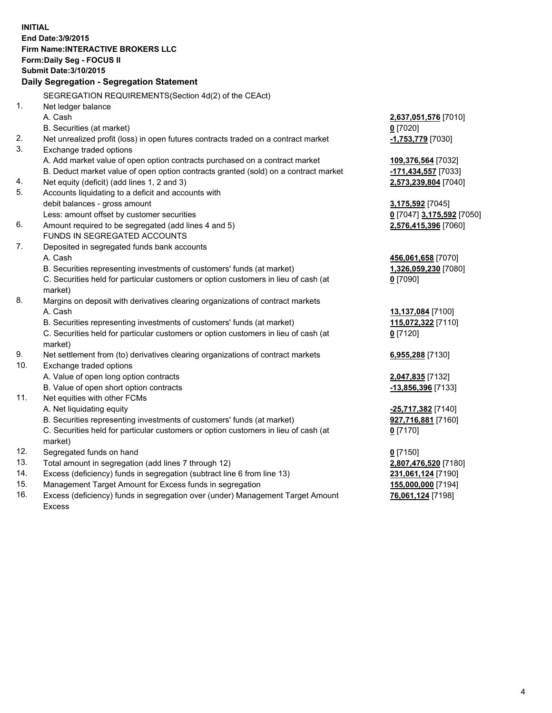**INITIAL End Date:3/9/2015 Firm Name:INTERACTIVE BROKERS LLC Form:Daily Seg - FOCUS II Submit Date:3/10/2015 Daily Segregation - Segregation Statement** SEGREGATION REQUIREMENTS(Section 4d(2) of the CEAct) 1. Net ledger balance A. Cash **2,637,051,576** [7010] B. Securities (at market) **0** [7020] 2. Net unrealized profit (loss) in open futures contracts traded on a contract market **-1,753,779** [7030] 3. Exchange traded options A. Add market value of open option contracts purchased on a contract market **109,376,564** [7032] B. Deduct market value of open option contracts granted (sold) on a contract market **-171,434,557** [7033] 4. Net equity (deficit) (add lines 1, 2 and 3) **2,573,239,804** [7040] 5. Accounts liquidating to a deficit and accounts with debit balances - gross amount **3,175,592** [7045] Less: amount offset by customer securities **0** [7047] **3,175,592** [7050] 6. Amount required to be segregated (add lines 4 and 5) **2,576,415,396** [7060] FUNDS IN SEGREGATED ACCOUNTS 7. Deposited in segregated funds bank accounts A. Cash **456,061,658** [7070] B. Securities representing investments of customers' funds (at market) **1,326,059,230** [7080] C. Securities held for particular customers or option customers in lieu of cash (at market) **0** [7090] 8. Margins on deposit with derivatives clearing organizations of contract markets A. Cash **13,137,084** [7100] B. Securities representing investments of customers' funds (at market) **115,072,322** [7110] C. Securities held for particular customers or option customers in lieu of cash (at market) **0** [7120] 9. Net settlement from (to) derivatives clearing organizations of contract markets **6,955,288** [7130] 10. Exchange traded options A. Value of open long option contracts **2,047,835** [7132] B. Value of open short option contracts **-13,856,396** [7133] 11. Net equities with other FCMs A. Net liquidating equity **-25,717,382** [7140] B. Securities representing investments of customers' funds (at market) **927,716,881** [7160] C. Securities held for particular customers or option customers in lieu of cash (at market) **0** [7170] 12. Segregated funds on hand **0** [7150] 13. Total amount in segregation (add lines 7 through 12) **2,807,476,520** [7180] 14. Excess (deficiency) funds in segregation (subtract line 6 from line 13) **231,061,124** [7190] 15. Management Target Amount for Excess funds in segregation **155,000,000** [7194]

16. Excess (deficiency) funds in segregation over (under) Management Target Amount Excess

**76,061,124** [7198]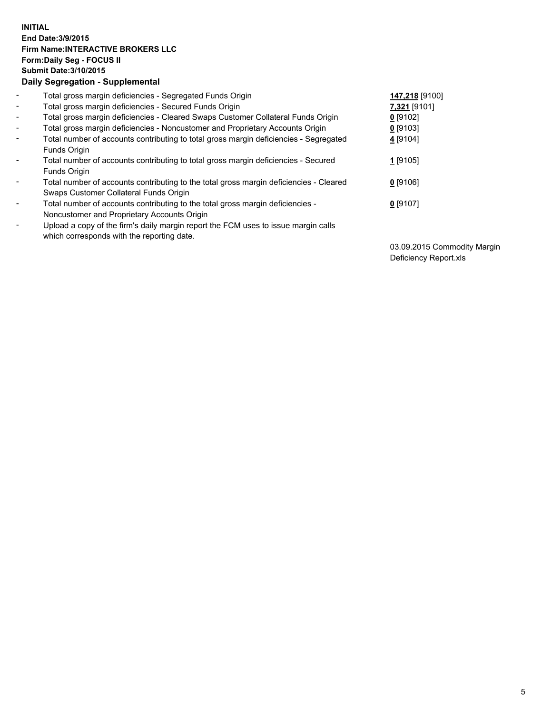## **INITIAL End Date:3/9/2015 Firm Name:INTERACTIVE BROKERS LLC Form:Daily Seg - FOCUS II Submit Date:3/10/2015 Daily Segregation - Supplemental**

| $\blacksquare$ | Total gross margin deficiencies - Segregated Funds Origin                              | 147,218 [9100] |
|----------------|----------------------------------------------------------------------------------------|----------------|
| $\blacksquare$ | Total gross margin deficiencies - Secured Funds Origin                                 | 7,321 [9101]   |
| $\blacksquare$ | Total gross margin deficiencies - Cleared Swaps Customer Collateral Funds Origin       | $0$ [9102]     |
| $\blacksquare$ | Total gross margin deficiencies - Noncustomer and Proprietary Accounts Origin          | $0$ [9103]     |
| $\blacksquare$ | Total number of accounts contributing to total gross margin deficiencies - Segregated  | 4 [9104]       |
|                | <b>Funds Origin</b>                                                                    |                |
| $\blacksquare$ | Total number of accounts contributing to total gross margin deficiencies - Secured     | $1$ [9105]     |
|                | <b>Funds Origin</b>                                                                    |                |
|                | Total number of accounts contributing to the total gross margin deficiencies - Cleared | $0$ [9106]     |
|                | Swaps Customer Collateral Funds Origin                                                 |                |
| $\blacksquare$ | Total number of accounts contributing to the total gross margin deficiencies -         | $0$ [9107]     |
|                | Noncustomer and Proprietary Accounts Origin                                            |                |
| $\blacksquare$ | Upload a copy of the firm's daily margin report the FCM uses to issue margin calls     |                |
|                | which corresponds with the reporting date.                                             |                |

03.09.2015 Commodity Margin Deficiency Report.xls